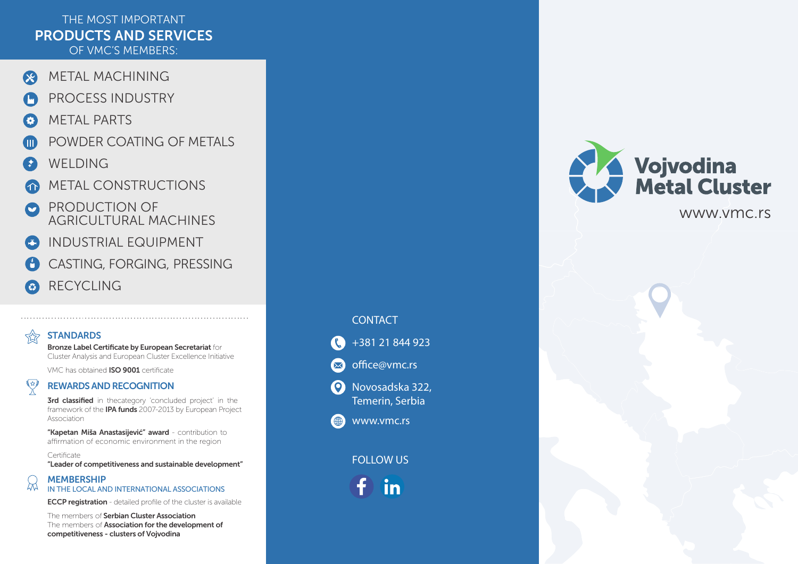## T HE MOST IMP ORTANT PRODUCTS AND SERVICES O F VMC 'S MEMBERS :

- R ME TAL M ACHINING
- PROCESS INDUSTRY
- ME TAL PARTS
- POWDER COATING OF METALS
- WELDING
- ME TAL CONSTRUCTIONS
- PRODUCTION OF **AGRICULTURAL MACHINES**
- INDUSTRIAL EQUIPMENT Œ
- CA S TIN G , FOR GIN G, PRESSIN G
- **RECYCLING**  $\bullet$

# **STANDARDS**

THE

Bronze Label Certificate by European Secretariat for Cluster Analysis and European Cluster Excellence Initiative

VMC has obtained **ISO 9001** certificate

#### 网 REWARDS AND RECOGNITION

p roj e c t i n t he ' framework of the **IPA funds** 2007-2013 by European Project Association

"Kapetan Miša Anastasijević" award - contribution to affirmation of economic environment in the region

**Certificate** "Leader of competitiveness and sustainable development"

#### **MEMBERSHIP** total IN THE LOCAL AND INTERNATIONAL ASSOCIATIONS

ECCP registration - detailed profile of the cluster is available

The members of Serbian Cluster Association The members of **Association for the development of 3rd classified** in thecategory 'concluded<br>framework of the **IPA funds** 2007-2013 by<br>Association<br>**"Kapetan Miša Anastasijević" award** - co<br>affirmation of economic environment in<br>Certificate<br>**"Leader of competitiveness and** 

#### **CONTACT**



+381 21 844 923



Novosadska 322, Temerin, Serbia



### FOLLOW US



# **Vojvodina<br>Metal Cluster** www.vmc.rs